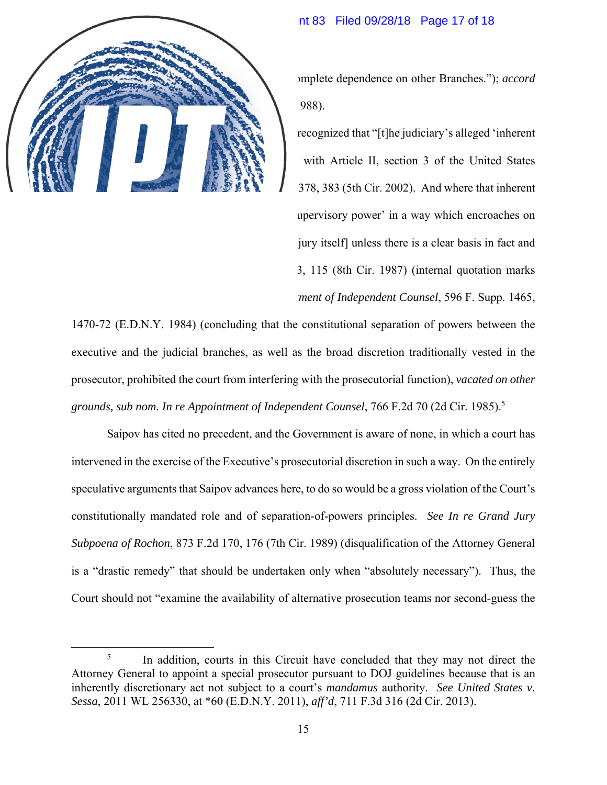## Case 1:17-cr-00722-VSB Document 83 Filed 09/28/18 Page 17 of 18

means to vindicate its own authority without complete dependence on other Branches."); *accord Morrison v. Olson*, 487 U.S. 654, 681 & n.20 (1988).

To the contrary, Courts of Appeals have recognized that "[t]he judiciary's alleged 'inherent power' to appoint special prosecutors clashes with Article II, section 3 of the United States Constitution." *United States v. Davis*, 285 F.3d 378, 383 (5th Cir. 2002). And where that inherent power clashes, "a court may not exercise its 'supervisory power' in a way which encroaches on the prerogatives of the [Executive or the grand jury itself] unless there is a clear basis in fact and law for doing so." *In re Wood*, 833 F.2d 113, 115 (8th Cir. 1987) (internal quotation marks omitted); *see also In re Application for Appointment of Independent Counsel*, 596 F. Supp. 1465, 1470-72 (E.D.N.Y. 1984) (concluding that the constitutional separation of powers between the executive and the judicial branches, as well as the broad discretion traditionally vested in the prosecutor, prohibited the court from interfering with the prosecutorial function), *vacated on other grounds, sub nom. In re Appointment of Independent Counsel*, 766 F.2d 70 (2d Cir. 1985).5

Saipov has cited no precedent, and the Government is aware of none, in which a court has intervened in the exercise of the Executive's prosecutorial discretion in such a way. On the entirely speculative arguments that Saipov advances here, to do so would be a gross violation of the Court's constitutionally mandated role and of separation-of-powers principles. *See In re Grand Jury Subpoena of Rochon*, 873 F.2d 170, 176 (7th Cir. 1989) (disqualification of the Attorney General is a "drastic remedy" that should be undertaken only when "absolutely necessary"). Thus, the Court should not "examine the availability of alternative prosecution teams nor second-guess the

 $\frac{1}{5}$ <sup>5</sup> In addition, courts in this Circuit have concluded that they may not direct the Attorney General to appoint a special prosecutor pursuant to DOJ guidelines because that is an inherently discretionary act not subject to a court's *mandamus* authority. *See United States v. Sessa*, 2011 WL 256330, at \*60 (E.D.N.Y. 2011), *aff'd*, 711 F.3d 316 (2d Cir. 2013).